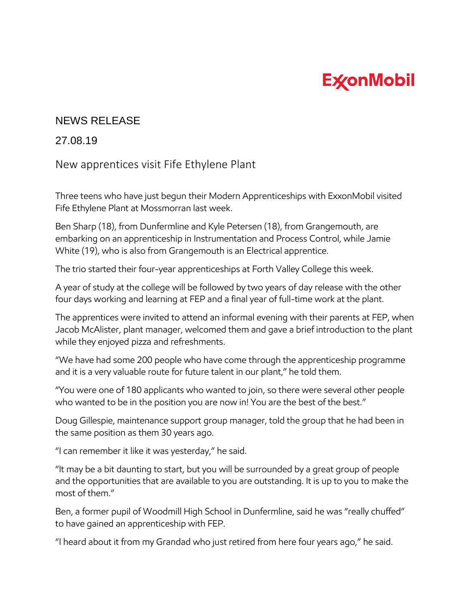## **ExconMobil**

## NEWS RELEASE

## 27.08.19

New apprentices visit Fife Ethylene Plant

Three teens who have just begun their Modern Apprenticeships with ExxonMobil visited Fife Ethylene Plant at Mossmorran last week.

Ben Sharp (18), from Dunfermline and Kyle Petersen (18), from Grangemouth, are embarking on an apprenticeship in Instrumentation and Process Control, while Jamie White (19), who is also from Grangemouth is an Electrical apprentice.

The trio started their four-year apprenticeships at Forth Valley College this week.

A year of study at the college will be followed by two years of day release with the other four days working and learning at FEP and a final year of full-time work at the plant.

The apprentices were invited to attend an informal evening with their parents at FEP, when Jacob McAlister, plant manager, welcomed them and gave a brief introduction to the plant while they enjoyed pizza and refreshments.

"We have had some 200 people who have come through the apprenticeship programme and it is a very valuable route for future talent in our plant," he told them.

"You were one of 180 applicants who wanted to join, so there were several other people who wanted to be in the position you are now in! You are the best of the best."

Doug Gillespie, maintenance support group manager, told the group that he had been in the same position as them 30 years ago.

"I can remember it like it was yesterday," he said.

"It may be a bit daunting to start, but you will be surrounded by a great group of people and the opportunities that are available to you are outstanding. It is up to you to make the most of them."

Ben, a former pupil of Woodmill High School in Dunfermline, said he was "really chuffed" to have gained an apprenticeship with FEP.

"I heard about it from my Grandad who just retired from here four years ago," he said.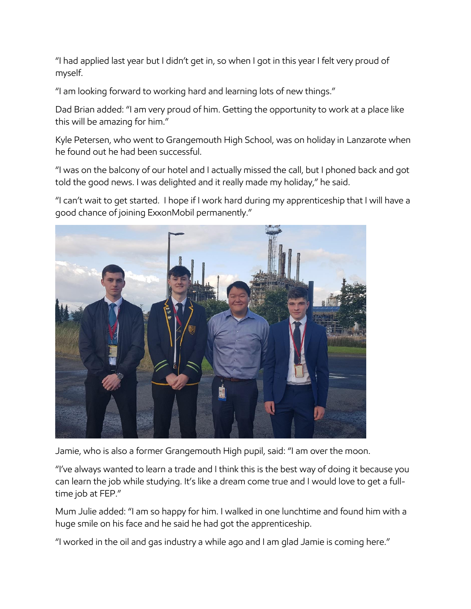"I had applied last year but I didn't get in, so when I got in this year I felt very proud of myself.

"I am looking forward to working hard and learning lots of new things."

Dad Brian added: "I am very proud of him. Getting the opportunity to work at a place like this will be amazing for him."

Kyle Petersen, who went to Grangemouth High School, was on holiday in Lanzarote when he found out he had been successful.

"I was on the balcony of our hotel and I actually missed the call, but I phoned back and got told the good news. I was delighted and it really made my holiday," he said.

"I can't wait to get started. I hope if I work hard during my apprenticeship that I will have a good chance of joining ExxonMobil permanently."



Jamie, who is also a former Grangemouth High pupil, said: "I am over the moon.

"I've always wanted to learn a trade and I think this is the best way of doing it because you can learn the job while studying. It's like a dream come true and I would love to get a fulltime job at FEP."

Mum Julie added: "I am so happy for him. I walked in one lunchtime and found him with a huge smile on his face and he said he had got the apprenticeship.

"I worked in the oil and gas industry a while ago and I am glad Jamie is coming here."